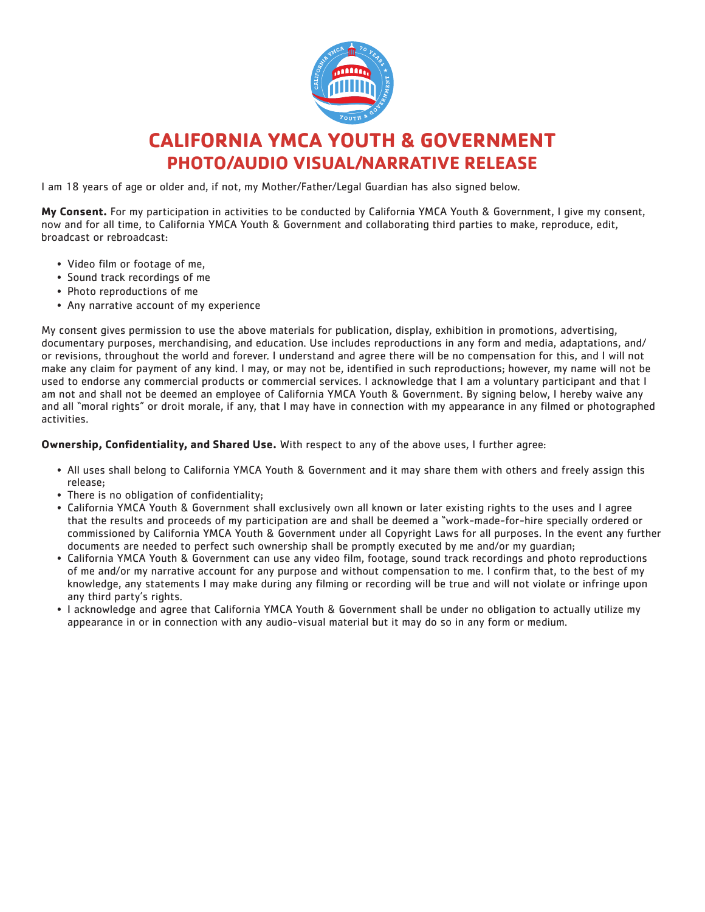

## **CALIFORNIA YMCA YOUTH & GOVERNMENT PHOTO/AUDIO VISUAL/NARRATIVE RELEASE**

I am 18 years of age or older and, if not, my Mother/Father/Legal Guardian has also signed below.

**My Consent.** For my participation in activities to be conducted by California YMCA Youth & Government, I give my consent, now and for all time, to California YMCA Youth & Government and collaborating third parties to make, reproduce, edit, broadcast or rebroadcast:

- Video film or footage of me,
- Sound track recordings of me
- Photo reproductions of me
- Any narrative account of my experience

My consent gives permission to use the above materials for publication, display, exhibition in promotions, advertising, documentary purposes, merchandising, and education. Use includes reproductions in any form and media, adaptations, and/ or revisions, throughout the world and forever. I understand and agree there will be no compensation for this, and I will not make any claim for payment of any kind. I may, or may not be, identified in such reproductions; however, my name will not be used to endorse any commercial products or commercial services. I acknowledge that I am a voluntary participant and that I am not and shall not be deemed an employee of California YMCA Youth & Government. By signing below, I hereby waive any and all "moral rights" or droit morale, if any, that I may have in connection with my appearance in any filmed or photographed activities.

**Ownership, Confidentiality, and Shared Use.** With respect to any of the above uses, I further agree:

- All uses shall belong to California YMCA Youth & Government and it may share them with others and freely assign this release;
- There is no obligation of confidentiality;
- California YMCA Youth & Government shall exclusively own all known or later existing rights to the uses and I agree that the results and proceeds of my participation are and shall be deemed a "work-made-for-hire specially ordered or commissioned by California YMCA Youth & Government under all Copyright Laws for all purposes. In the event any further documents are needed to perfect such ownership shall be promptly executed by me and/or my guardian;
- California YMCA Youth & Government can use any video film, footage, sound track recordings and photo reproductions of me and/or my narrative account for any purpose and without compensation to me. I confirm that, to the best of my knowledge, any statements I may make during any filming or recording will be true and will not violate or infringe upon any third party's rights.
- I acknowledge and agree that California YMCA Youth & Government shall be under no obligation to actually utilize my appearance in or in connection with any audio-visual material but it may do so in any form or medium.